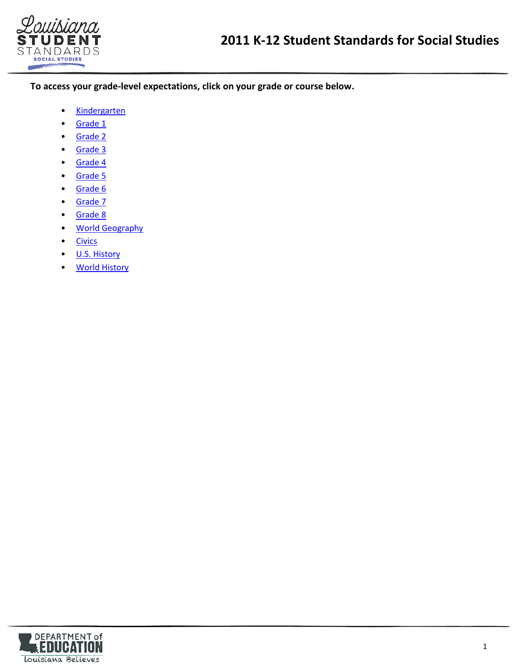

**To access your grade-level expectations, click on your grade or course below.** 

- [Kindergarten](#page-1-0)
- [Grade 1](#page-3-0)
- [Grade 2](#page-5-0)
- [Grade 3](#page-8-0)
- [Grade 4](#page-11-0)
- [Grade 5](#page-14-0)
- [Grade 6](#page-17-0)
- [Grade 7](#page-19-0)
- [Grade 8](#page-23-0)
- [World Geography](#page-26-0)
- [Civics](#page-28-0)
- [U.S. History](#page-32-0)
- [World History](#page-35-0)

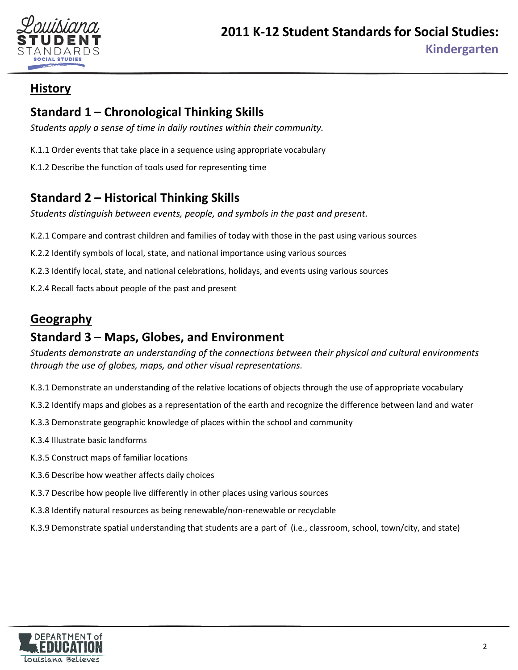

# <span id="page-1-0"></span>**Standard 1 – Chronological Thinking Skills**

*Students apply a sense of time in daily routines within their community.*

- K.1.1 Order events that take place in a sequence using appropriate vocabulary
- K.1.2 Describe the function of tools used for representing time

# **Standard 2 – Historical Thinking Skills**

*Students distinguish between events, people, and symbols in the past and present.*

- K.2.1 Compare and contrast children and families of today with those in the past using various sources
- K.2.2 Identify symbols of local, state, and national importance using various sources
- K.2.3 Identify local, state, and national celebrations, holidays, and events using various sources
- K.2.4 Recall facts about people of the past and present

# **Geography**

# **Standard 3 – Maps, Globes, and Environment**

*Students demonstrate an understanding of the connections between their physical and cultural environments through the use of globes, maps, and other visual representations.* 

- K.3.1 Demonstrate an understanding of the relative locations of objects through the use of appropriate vocabulary
- K.3.2 Identify maps and globes as a representation of the earth and recognize the difference between land and water
- K.3.3 Demonstrate geographic knowledge of places within the school and community
- K.3.4 Illustrate basic landforms
- K.3.5 Construct maps of familiar locations
- K.3.6 Describe how weather affects daily choices
- K.3.7 Describe how people live differently in other places using various sources
- K.3.8 Identify natural resources as being renewable/non-renewable or recyclable
- K.3.9 Demonstrate spatial understanding that students are a part of (i.e., classroom, school, town/city, and state)

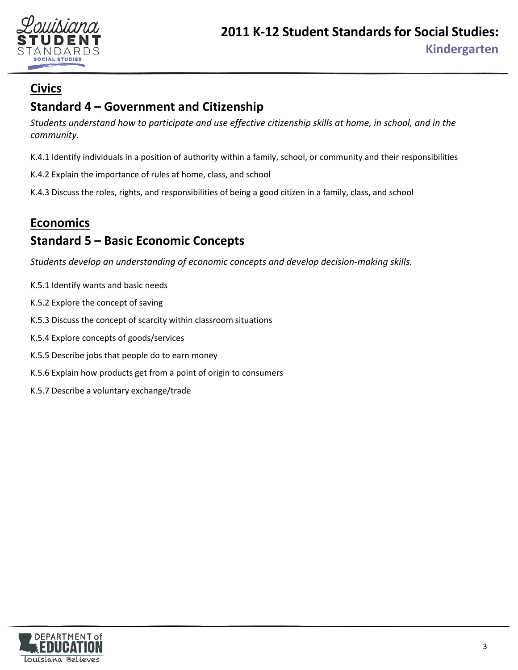

# **Civics**

# **Standard 4 – Government and Citizenship**

*Students understand how to participate and use effective citizenship skills at home, in school, and in the community.* 

K.4.1 Identify individuals in a position of authority within a family, school, or community and their responsibilities

K.4.2 Explain the importance of rules at home, class, and school

K.4.3 Discuss the roles, rights, and responsibilities of being a good citizen in a family, class, and school

# **Economics Standard 5 – Basic Economic Concepts**

*Students develop an understanding of economic concepts and develop decision-making skills.* 

- K.5.1 Identify wants and basic needs
- K.5.2 Explore the concept of saving
- K.5.3 Discuss the concept of scarcity within classroom situations
- K.5.4 Explore concepts of goods/services
- K.5.5 Describe jobs that people do to earn money
- K.5.6 Explain how products get from a point of origin to consumers
- K.5.7 Describe a voluntary exchange/trade

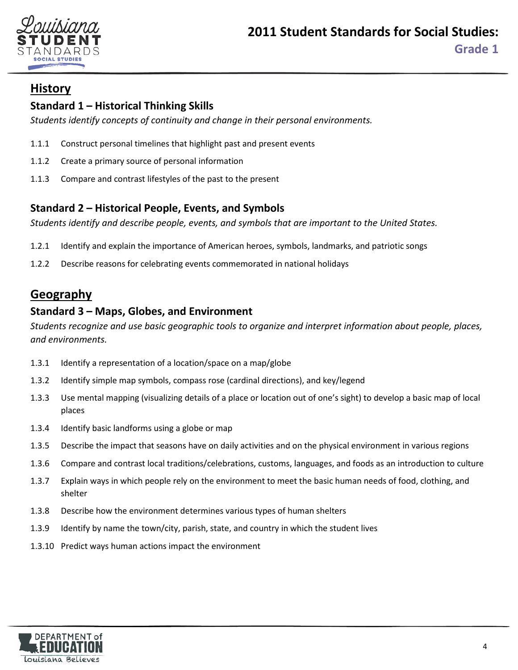

## <span id="page-3-0"></span>**Standard 1 – Historical Thinking Skills**

*Students identify concepts of continuity and change in their personal environments.*

- 1.1.1 Construct personal timelines that highlight past and present events
- 1.1.2 Create a primary source of personal information
- 1.1.3 Compare and contrast lifestyles of the past to the present

#### **Standard 2 – Historical People, Events, and Symbols**

*Students identify and describe people, events, and symbols that are important to the United States.*

- 1.2.1 Identify and explain the importance of American heroes, symbols, landmarks, and patriotic songs
- 1.2.2 Describe reasons for celebrating events commemorated in national holidays

## **Geography**

## **Standard 3 – Maps, Globes, and Environment**

*Students recognize and use basic geographic tools to organize and interpret information about people, places, and environments.* 

- 1.3.1 Identify a representation of a location/space on a map/globe
- 1.3.2 Identify simple map symbols, compass rose (cardinal directions), and key/legend
- 1.3.3 Use mental mapping (visualizing details of a place or location out of one's sight) to develop a basic map of local places
- 1.3.4 Identify basic landforms using a globe or map
- 1.3.5 Describe the impact that seasons have on daily activities and on the physical environment in various regions
- 1.3.6 Compare and contrast local traditions/celebrations, customs, languages, and foods as an introduction to culture
- 1.3.7 Explain ways in which people rely on the environment to meet the basic human needs of food, clothing, and shelter
- 1.3.8 Describe how the environment determines various types of human shelters
- 1.3.9 Identify by name the town/city, parish, state, and country in which the student lives
- 1.3.10 Predict ways human actions impact the environment

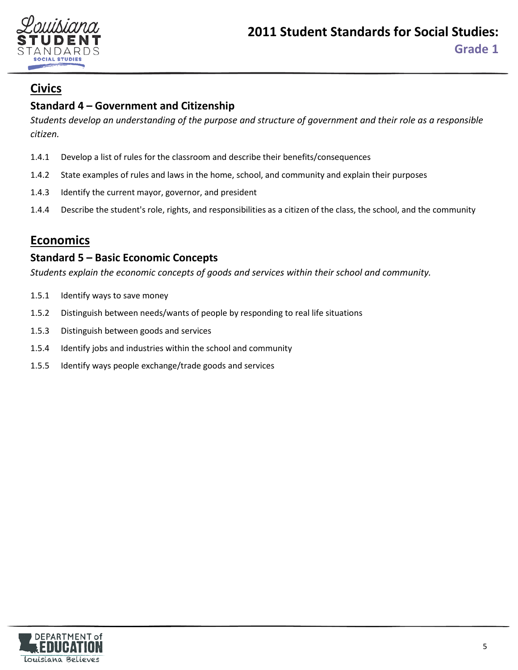

## **Civics**

## **Standard 4 – Government and Citizenship**

*Students develop an understanding of the purpose and structure of government and their role as a responsible citizen.* 

- 1.4.1 Develop a list of rules for the classroom and describe their benefits/consequences
- 1.4.2 State examples of rules and laws in the home, school, and community and explain their purposes
- 1.4.3 Identify the current mayor, governor, and president
- 1.4.4 Describe the student's role, rights, and responsibilities as a citizen of the class, the school, and the community

## **Economics**

#### **Standard 5 – Basic Economic Concepts**

*Students explain the economic concepts of goods and services within their school and community.*

- 1.5.1 Identify ways to save money
- 1.5.2 Distinguish between needs/wants of people by responding to real life situations
- 1.5.3 Distinguish between goods and services
- 1.5.4 Identify jobs and industries within the school and community
- 1.5.5 Identify ways people exchange/trade goods and services

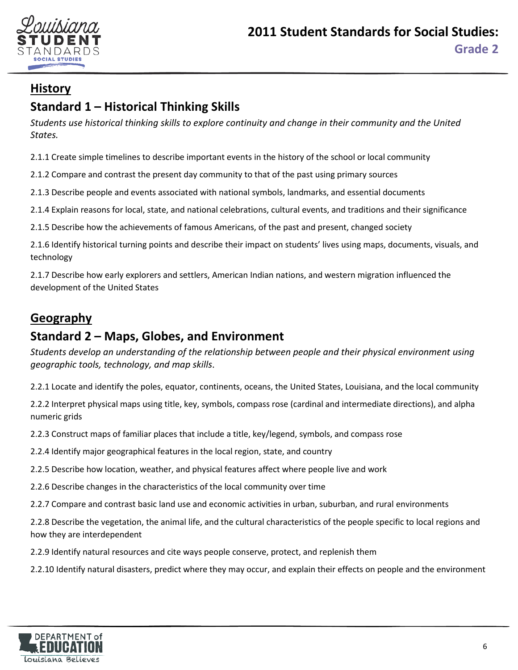

# <span id="page-5-0"></span>**Standard 1 – Historical Thinking Skills**

*Students use historical thinking skills to explore continuity and change in their community and the United States.* 

2.1.1 Create simple timelines to describe important events in the history of the school or local community

2.1.2 Compare and contrast the present day community to that of the past using primary sources

2.1.3 Describe people and events associated with national symbols, landmarks, and essential documents

2.1.4 Explain reasons for local, state, and national celebrations, cultural events, and traditions and their significance

2.1.5 Describe how the achievements of famous Americans, of the past and present, changed society

2.1.6 Identify historical turning points and describe their impact on students' lives using maps, documents, visuals, and technology

2.1.7 Describe how early explorers and settlers, American Indian nations, and western migration influenced the development of the United States

# **Geography**

# **Standard 2 – Maps, Globes, and Environment**

*Students develop an understanding of the relationship between people and their physical environment using geographic tools, technology, and map skills*.

2.2.1 Locate and identify the poles, equator, continents, oceans, the United States, Louisiana, and the local community

2.2.2 Interpret physical maps using title, key, symbols, compass rose (cardinal and intermediate directions), and alpha numeric grids

2.2.3 Construct maps of familiar places that include a title, key/legend, symbols, and compass rose

2.2.4 Identify major geographical features in the local region, state, and country

2.2.5 Describe how location, weather, and physical features affect where people live and work

2.2.6 Describe changes in the characteristics of the local community over time

2.2.7 Compare and contrast basic land use and economic activities in urban, suburban, and rural environments

2.2.8 Describe the vegetation, the animal life, and the cultural characteristics of the people specific to local regions and how they are interdependent

2.2.9 Identify natural resources and cite ways people conserve, protect, and replenish them

2.2.10 Identify natural disasters, predict where they may occur, and explain their effects on people and the environment

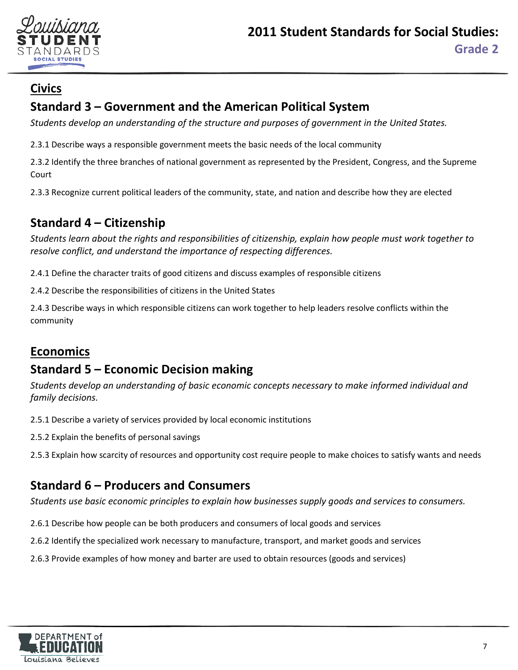

# **Civics**

# **Standard 3 – Government and the American Political System**

*Students develop an understanding of the structure and purposes of government in the United States.*

2.3.1 Describe ways a responsible government meets the basic needs of the local community

2.3.2 Identify the three branches of national government as represented by the President, Congress, and the Supreme Court

2.3.3 Recognize current political leaders of the community, state, and nation and describe how they are elected

# **Standard 4 – Citizenship**

*Students learn about the rights and responsibilities of citizenship, explain how people must work together to resolve conflict, and understand the importance of respecting differences.* 

2.4.1 Define the character traits of good citizens and discuss examples of responsible citizens

2.4.2 Describe the responsibilities of citizens in the United States

2.4.3 Describe ways in which responsible citizens can work together to help leaders resolve conflicts within the community

# **Economics**

# **Standard 5 – Economic Decision making**

*Students develop an understanding of basic economic concepts necessary to make informed individual and family decisions.*

2.5.1 Describe a variety of services provided by local economic institutions

- 2.5.2 Explain the benefits of personal savings
- 2.5.3 Explain how scarcity of resources and opportunity cost require people to make choices to satisfy wants and needs

# **Standard 6 – Producers and Consumers**

*Students use basic economic principles to explain how businesses supply goods and services to consumers.*

- 2.6.1 Describe how people can be both producers and consumers of local goods and services
- 2.6.2 Identify the specialized work necessary to manufacture, transport, and market goods and services
- 2.6.3 Provide examples of how money and barter are used to obtain resources (goods and services)

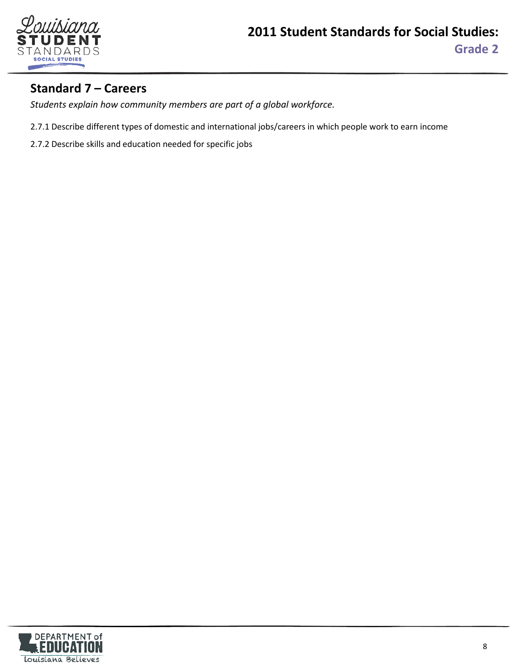

# **Standard 7 – Careers**

*Students explain how community members are part of a global workforce.*

- 2.7.1 Describe different types of domestic and international jobs/careers in which people work to earn income
- 2.7.2 Describe skills and education needed for specific jobs

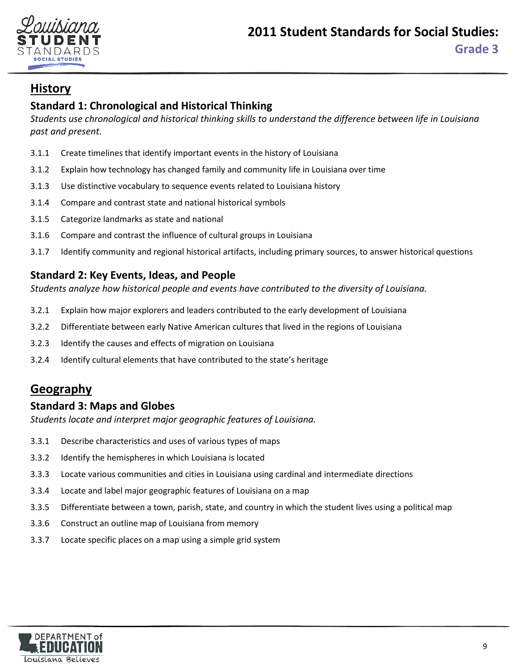

## <span id="page-8-0"></span>**Standard 1: Chronological and Historical Thinking**

*Students use chronological and historical thinking skills to understand the difference between life in Louisiana past and present.*

- 3.1.1 Create timelines that identify important events in the history of Louisiana
- 3.1.2 Explain how technology has changed family and community life in Louisiana over time
- 3.1.3 Use distinctive vocabulary to sequence events related to Louisiana history
- 3.1.4 Compare and contrast state and national historical symbols
- 3.1.5 Categorize landmarks as state and national
- 3.1.6 Compare and contrast the influence of cultural groups in Louisiana
- 3.1.7 Identify community and regional historical artifacts, including primary sources, to answer historical questions

#### **Standard 2: Key Events, Ideas, and People**

*Students analyze how historical people and events have contributed to the diversity of Louisiana.*

- 3.2.1 Explain how major explorers and leaders contributed to the early development of Louisiana
- 3.2.2 Differentiate between early Native American cultures that lived in the regions of Louisiana
- 3.2.3 Identify the causes and effects of migration on Louisiana
- 3.2.4 Identify cultural elements that have contributed to the state's heritage

## **Geography**

#### **Standard 3: Maps and Globes**

*Students locate and interpret major geographic features of Louisiana.*

- 3.3.1 Describe characteristics and uses of various types of maps
- 3.3.2 Identify the hemispheres in which Louisiana is located
- 3.3.3 Locate various communities and cities in Louisiana using cardinal and intermediate directions
- 3.3.4 Locate and label major geographic features of Louisiana on a map
- 3.3.5 Differentiate between a town, parish, state, and country in which the student lives using a political map
- 3.3.6 Construct an outline map of Louisiana from memory
- 3.3.7 Locate specific places on a map using a simple grid system

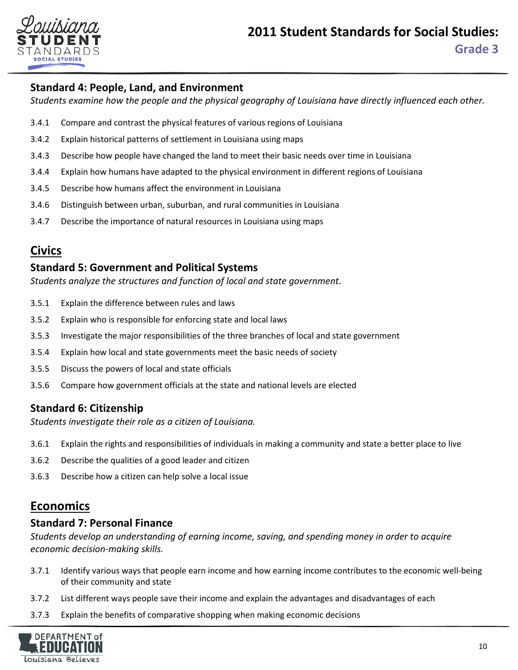

## **Standard 4: People, Land, and Environment**

*Students examine how the people and the physical geography of Louisiana have directly influenced each other.*

- 3.4.1 Compare and contrast the physical features of various regions of Louisiana
- 3.4.2 Explain historical patterns of settlement in Louisiana using maps
- 3.4.3 Describe how people have changed the land to meet their basic needs over time in Louisiana
- 3.4.4 Explain how humans have adapted to the physical environment in different regions of Louisiana
- 3.4.5 Describe how humans affect the environment in Louisiana
- 3.4.6 Distinguish between urban, suburban, and rural communities in Louisiana
- 3.4.7 Describe the importance of natural resources in Louisiana using maps

## **Civics**

#### **Standard 5: Government and Political Systems**

*Students analyze the structures and function of local and state government.*

- 3.5.1 Explain the difference between rules and laws
- 3.5.2 Explain who is responsible for enforcing state and local laws
- 3.5.3 Investigate the major responsibilities of the three branches of local and state government
- 3.5.4 Explain how local and state governments meet the basic needs of society
- 3.5.5 Discuss the powers of local and state officials
- 3.5.6 Compare how government officials at the state and national levels are elected

#### **Standard 6: Citizenship**

*Students investigate their role as a citizen of Louisiana.* 

- 3.6.1 Explain the rights and responsibilities of individuals in making a community and state a better place to live
- 3.6.2 Describe the qualities of a good leader and citizen
- 3.6.3 Describe how a citizen can help solve a local issue

## **Economics**

#### **Standard 7: Personal Finance**

*Students develop an understanding of earning income, saving, and spending money in order to acquire economic decision-making skills.*

- 3.7.1 Identify various ways that people earn income and how earning income contributes to the economic well-being of their community and state
- 3.7.2 List different ways people save their income and explain the advantages and disadvantages of each
- 3.7.3 Explain the benefits of comparative shopping when making economic decisions

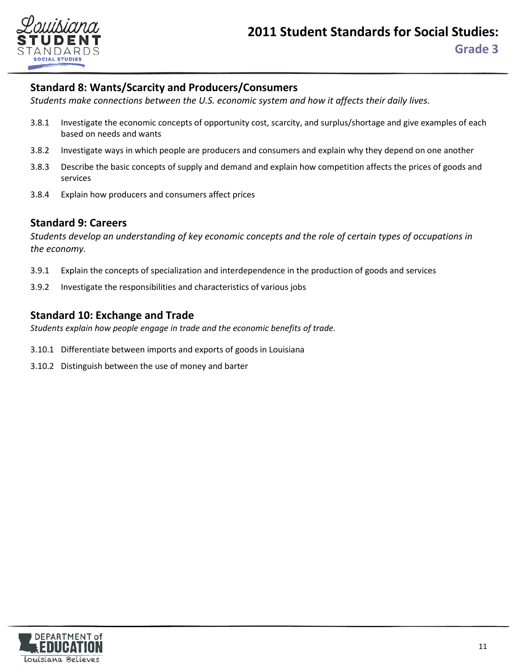

#### **Standard 8: Wants/Scarcity and Producers/Consumers**

*Students make connections between the U.S. economic system and how it affects their daily lives.*

- 3.8.1 Investigate the economic concepts of opportunity cost, scarcity, and surplus/shortage and give examples of each based on needs and wants
- 3.8.2 Investigate ways in which people are producers and consumers and explain why they depend on one another
- 3.8.3 Describe the basic concepts of supply and demand and explain how competition affects the prices of goods and services
- 3.8.4 Explain how producers and consumers affect prices

#### **Standard 9: Careers**

*Students develop an understanding of key economic concepts and the role of certain types of occupations in the economy.*

- 3.9.1 Explain the concepts of specialization and interdependence in the production of goods and services
- 3.9.2 Investigate the responsibilities and characteristics of various jobs

#### **Standard 10: Exchange and Trade**

*Students explain how people engage in trade and the economic benefits of trade.*

- 3.10.1 Differentiate between imports and exports of goods in Louisiana
- 3.10.2 Distinguish between the use of money and barter

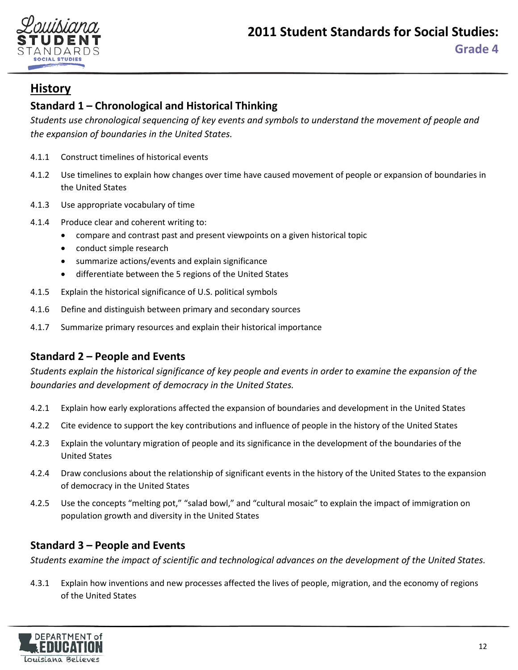

## <span id="page-11-0"></span>**Standard 1 – Chronological and Historical Thinking**

*Students use chronological sequencing of key events and symbols to understand the movement of people and the expansion of boundaries in the United States.*

- 4.1.1 Construct timelines of historical events
- 4.1.2 Use timelines to explain how changes over time have caused movement of people or expansion of boundaries in the United States
- 4.1.3 Use appropriate vocabulary of time
- 4.1.4 Produce clear and coherent writing to:
	- compare and contrast past and present viewpoints on a given historical topic
	- conduct simple research
	- summarize actions/events and explain significance
	- differentiate between the 5 regions of the United States
- 4.1.5 Explain the historical significance of U.S. political symbols
- 4.1.6 Define and distinguish between primary and secondary sources
- 4.1.7 Summarize primary resources and explain their historical importance

## **Standard 2 – People and Events**

*Students explain the historical significance of key people and events in order to examine the expansion of the boundaries and development of democracy in the United States.*

- 4.2.1 Explain how early explorations affected the expansion of boundaries and development in the United States
- 4.2.2 Cite evidence to support the key contributions and influence of people in the history of the United States
- 4.2.3 Explain the voluntary migration of people and its significance in the development of the boundaries of the United States
- 4.2.4 Draw conclusions about the relationship of significant events in the history of the United States to the expansion of democracy in the United States
- 4.2.5 Use the concepts "melting pot," "salad bowl," and "cultural mosaic" to explain the impact of immigration on population growth and diversity in the United States

## **Standard 3 – People and Events**

*Students examine the impact of scientific and technological advances on the development of the United States.*

4.3.1 Explain how inventions and new processes affected the lives of people, migration, and the economy of regions of the United States

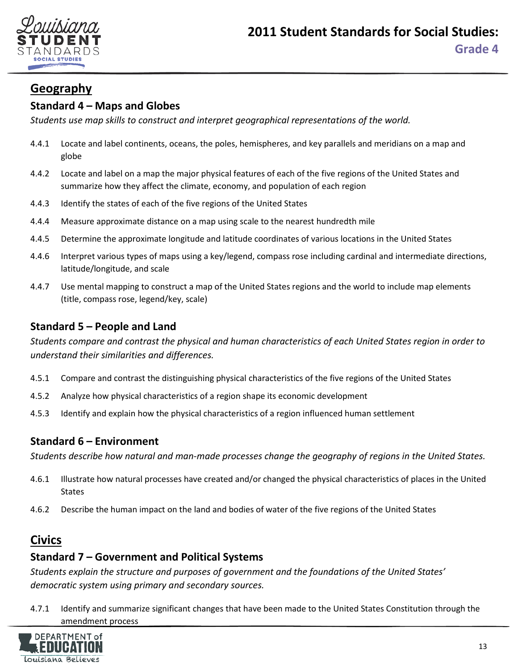

# **Geography**

## **Standard 4 – Maps and Globes**

*Students use map skills to construct and interpret geographical representations of the world.*

- 4.4.1 Locate and label continents, oceans, the poles, hemispheres, and key parallels and meridians on a map and globe
- 4.4.2 Locate and label on a map the major physical features of each of the five regions of the United States and summarize how they affect the climate, economy, and population of each region
- 4.4.3 Identify the states of each of the five regions of the United States
- 4.4.4 Measure approximate distance on a map using scale to the nearest hundredth mile
- 4.4.5 Determine the approximate longitude and latitude coordinates of various locations in the United States
- 4.4.6 Interpret various types of maps using a key/legend, compass rose including cardinal and intermediate directions, latitude/longitude, and scale
- 4.4.7 Use mental mapping to construct a map of the United States regions and the world to include map elements (title, compass rose, legend/key, scale)

#### **Standard 5 – People and Land**

*Students compare and contrast the physical and human characteristics of each United States region in order to understand their similarities and differences.*

- 4.5.1 Compare and contrast the distinguishing physical characteristics of the five regions of the United States
- 4.5.2 Analyze how physical characteristics of a region shape its economic development
- 4.5.3 Identify and explain how the physical characteristics of a region influenced human settlement

#### **Standard 6 – Environment**

*Students describe how natural and man-made processes change the geography of regions in the United States.*

- 4.6.1 Illustrate how natural processes have created and/or changed the physical characteristics of places in the United States
- 4.6.2 Describe the human impact on the land and bodies of water of the five regions of the United States

## **Civics**

#### **Standard 7 – Government and Political Systems**

*Students explain the structure and purposes of government and the foundations of the United States' democratic system using primary and secondary sources.*

4.7.1 Identify and summarize significant changes that have been made to the United States Constitution through the amendment process

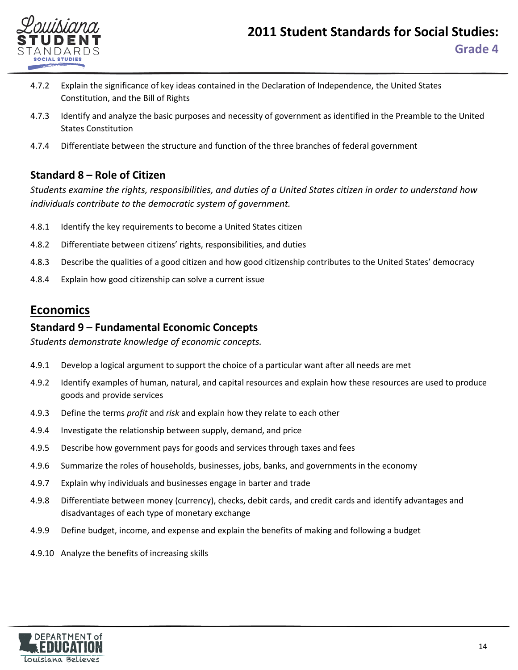

- 4.7.2 Explain the significance of key ideas contained in the Declaration of Independence, the United States Constitution, and the Bill of Rights
- 4.7.3 Identify and analyze the basic purposes and necessity of government as identified in the Preamble to the United States Constitution
- 4.7.4 Differentiate between the structure and function of the three branches of federal government

## **Standard 8 – Role of Citizen**

*Students examine the rights, responsibilities, and duties of a United States citizen in order to understand how individuals contribute to the democratic system of government.*

- 4.8.1 Identify the key requirements to become a United States citizen
- 4.8.2 Differentiate between citizens' rights, responsibilities, and duties
- 4.8.3 Describe the qualities of a good citizen and how good citizenship contributes to the United States' democracy
- 4.8.4 Explain how good citizenship can solve a current issue

## **Economics**

#### **Standard 9 – Fundamental Economic Concepts**

*Students demonstrate knowledge of economic concepts.*

- 4.9.1 Develop a logical argument to support the choice of a particular want after all needs are met
- 4.9.2 Identify examples of human, natural, and capital resources and explain how these resources are used to produce goods and provide services
- 4.9.3 Define the terms *profit* and *risk* and explain how they relate to each other
- 4.9.4 Investigate the relationship between supply, demand, and price
- 4.9.5 Describe how government pays for goods and services through taxes and fees
- 4.9.6 Summarize the roles of households, businesses, jobs, banks, and governments in the economy
- 4.9.7 Explain why individuals and businesses engage in barter and trade
- 4.9.8 Differentiate between money (currency), checks, debit cards, and credit cards and identify advantages and disadvantages of each type of monetary exchange
- 4.9.9 Define budget, income, and expense and explain the benefits of making and following a budget
- 4.9.10 Analyze the benefits of increasing skills

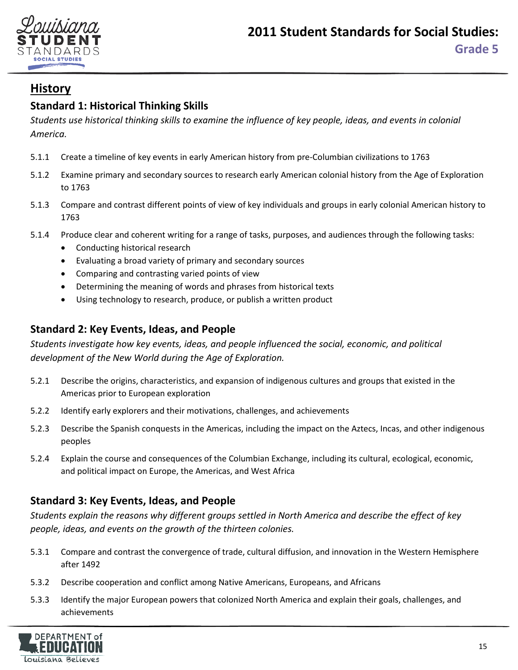

## <span id="page-14-0"></span>**Standard 1: Historical Thinking Skills**

*Students use historical thinking skills to examine the influence of key people, ideas, and events in colonial America.*

- 5.1.1 Create a timeline of key events in early American history from pre-Columbian civilizations to 1763
- 5.1.2 Examine primary and secondary sources to research early American colonial history from the Age of Exploration to 1763
- 5.1.3 Compare and contrast different points of view of key individuals and groups in early colonial American history to 1763
- 5.1.4 Produce clear and coherent writing for a range of tasks, purposes, and audiences through the following tasks:
	- Conducting historical research
	- Evaluating a broad variety of primary and secondary sources
	- Comparing and contrasting varied points of view
	- Determining the meaning of words and phrases from historical texts
	- Using technology to research, produce, or publish a written product

#### **Standard 2: Key Events, Ideas, and People**

*Students investigate how key events, ideas, and people influenced the social, economic, and political development of the New World during the Age of Exploration.*

- 5.2.1 Describe the origins, characteristics, and expansion of indigenous cultures and groups that existed in the Americas prior to European exploration
- 5.2.2 Identify early explorers and their motivations, challenges, and achievements
- 5.2.3 Describe the Spanish conquests in the Americas, including the impact on the Aztecs, Incas, and other indigenous peoples
- 5.2.4 Explain the course and consequences of the Columbian Exchange, including its cultural, ecological, economic, and political impact on Europe, the Americas, and West Africa

## **Standard 3: Key Events, Ideas, and People**

*Students explain the reasons why different groups settled in North America and describe the effect of key people, ideas, and events on the growth of the thirteen colonies.*

- 5.3.1 Compare and contrast the convergence of trade, cultural diffusion, and innovation in the Western Hemisphere after 1492
- 5.3.2 Describe cooperation and conflict among Native Americans, Europeans, and Africans
- 5.3.3 Identify the major European powers that colonized North America and explain their goals, challenges, and achievements

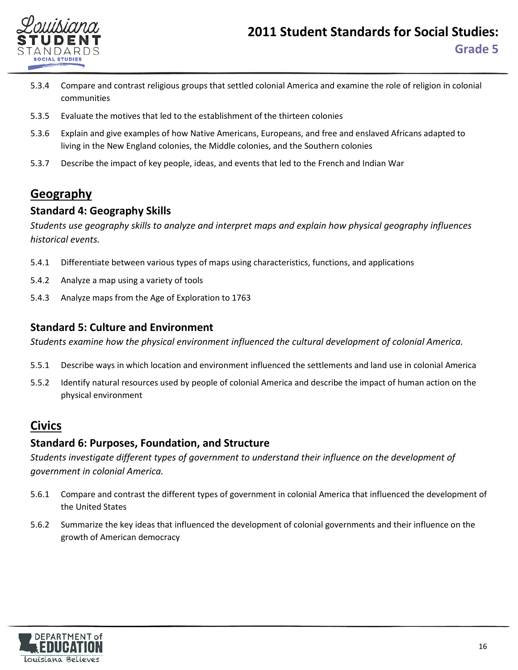

- 5.3.4 Compare and contrast religious groups that settled colonial America and examine the role of religion in colonial communities
- 5.3.5 Evaluate the motives that led to the establishment of the thirteen colonies
- 5.3.6 Explain and give examples of how Native Americans, Europeans, and free and enslaved Africans adapted to living in the New England colonies, the Middle colonies, and the Southern colonies
- 5.3.7 Describe the impact of key people, ideas, and events that led to the French and Indian War

# **Geography**

#### **Standard 4: Geography Skills**

*Students use geography skills to analyze and interpret maps and explain how physical geography influences historical events.* 

- 5.4.1 Differentiate between various types of maps using characteristics, functions, and applications
- 5.4.2 Analyze a map using a variety of tools
- 5.4.3 Analyze maps from the Age of Exploration to 1763

#### **Standard 5: Culture and Environment**

*Students examine how the physical environment influenced the cultural development of colonial America.*

- 5.5.1 Describe ways in which location and environment influenced the settlements and land use in colonial America
- 5.5.2 Identify natural resources used by people of colonial America and describe the impact of human action on the physical environment

## **Civics**

## **Standard 6: Purposes, Foundation, and Structure**

*Students investigate different types of government to understand their influence on the development of government in colonial America.*

- 5.6.1 Compare and contrast the different types of government in colonial America that influenced the development of the United States
- 5.6.2 Summarize the key ideas that influenced the development of colonial governments and their influence on the growth of American democracy

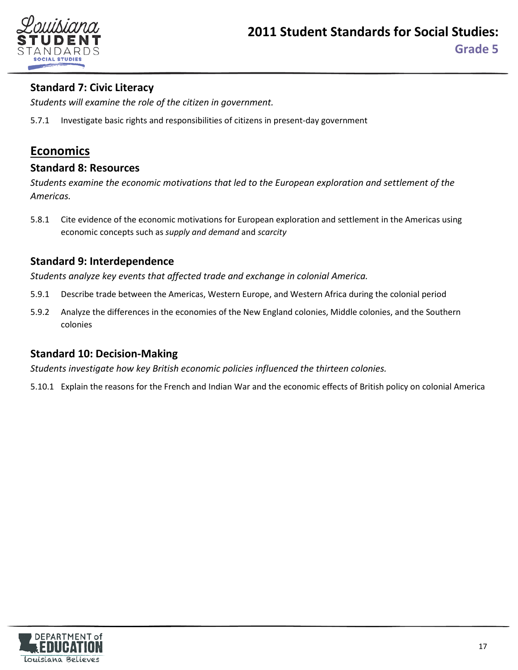

## **Standard 7: Civic Literacy**

*Students will examine the role of the citizen in government.* 

5.7.1 Investigate basic rights and responsibilities of citizens in present-day government

## **Economics**

#### **Standard 8: Resources**

*Students examine the economic motivations that led to the European exploration and settlement of the Americas.*

5.8.1 Cite evidence of the economic motivations for European exploration and settlement in the Americas using economic concepts such as *supply and demand* and *scarcity*

#### **Standard 9: Interdependence**

*Students analyze key events that affected trade and exchange in colonial America.*

- 5.9.1 Describe trade between the Americas, Western Europe, and Western Africa during the colonial period
- 5.9.2 Analyze the differences in the economies of the New England colonies, Middle colonies, and the Southern colonies

#### **Standard 10: Decision-Making**

*Students investigate how key British economic policies influenced the thirteen colonies.* 

5.10.1 Explain the reasons for the French and Indian War and the economic effects of British policy on colonial America

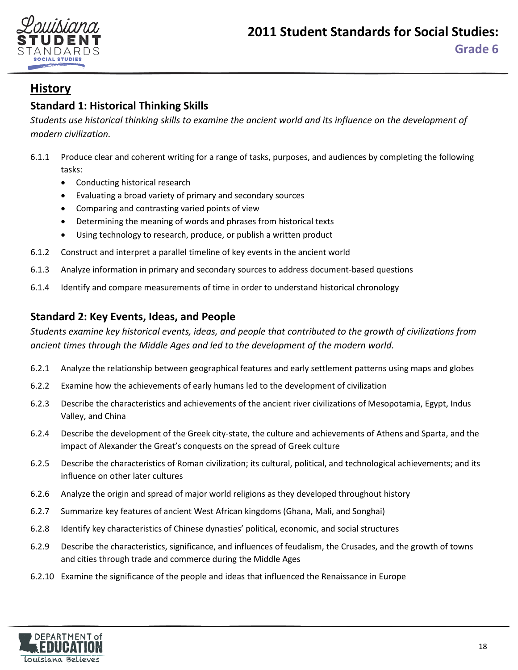



## <span id="page-17-0"></span>**Standard 1: Historical Thinking Skills**

*Students use historical thinking skills to examine the ancient world and its influence on the development of modern civilization.*

- 6.1.1 Produce clear and coherent writing for a range of tasks, purposes, and audiences by completing the following tasks:
	- Conducting historical research
	- Evaluating a broad variety of primary and secondary sources
	- Comparing and contrasting varied points of view
	- Determining the meaning of words and phrases from historical texts
	- Using technology to research, produce, or publish a written product
- 6.1.2 Construct and interpret a parallel timeline of key events in the ancient world
- 6.1.3 Analyze information in primary and secondary sources to address document-based questions
- 6.1.4 Identify and compare measurements of time in order to understand historical chronology

#### **Standard 2: Key Events, Ideas, and People**

*Students examine key historical events, ideas, and people that contributed to the growth of civilizations from ancient times through the Middle Ages and led to the development of the modern world.*

- 6.2.1 Analyze the relationship between geographical features and early settlement patterns using maps and globes
- 6.2.2 Examine how the achievements of early humans led to the development of civilization
- 6.2.3 Describe the characteristics and achievements of the ancient river civilizations of Mesopotamia, Egypt, Indus Valley, and China
- 6.2.4 Describe the development of the Greek city-state, the culture and achievements of Athens and Sparta, and the impact of Alexander the Great's conquests on the spread of Greek culture
- 6.2.5 Describe the characteristics of Roman civilization; its cultural, political, and technological achievements; and its influence on other later cultures
- 6.2.6 Analyze the origin and spread of major world religions as they developed throughout history
- 6.2.7 Summarize key features of ancient West African kingdoms (Ghana, Mali, and Songhai)
- 6.2.8 Identify key characteristics of Chinese dynasties' political, economic, and social structures
- 6.2.9 Describe the characteristics, significance, and influences of feudalism, the Crusades, and the growth of towns and cities through trade and commerce during the Middle Ages
- 6.2.10 Examine the significance of the people and ideas that influenced the Renaissance in Europe

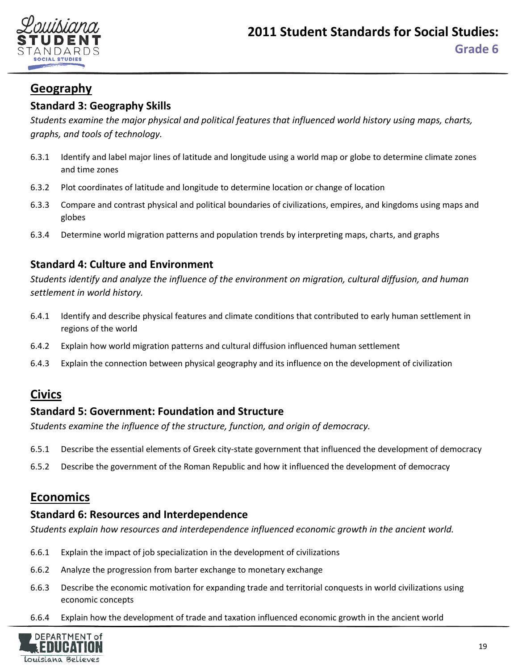

# **Geography**

## **Standard 3: Geography Skills**

*Students examine the major physical and political features that influenced world history using maps, charts, graphs, and tools of technology.*

- 6.3.1 Identify and label major lines of latitude and longitude using a world map or globe to determine climate zones and time zones
- 6.3.2 Plot coordinates of latitude and longitude to determine location or change of location
- 6.3.3 Compare and contrast physical and political boundaries of civilizations, empires, and kingdoms using maps and globes
- 6.3.4 Determine world migration patterns and population trends by interpreting maps, charts, and graphs

## **Standard 4: Culture and Environment**

*Students identify and analyze the influence of the environment on migration, cultural diffusion, and human settlement in world history.*

- 6.4.1 Identify and describe physical features and climate conditions that contributed to early human settlement in regions of the world
- 6.4.2 Explain how world migration patterns and cultural diffusion influenced human settlement
- 6.4.3 Explain the connection between physical geography and its influence on the development of civilization

## **Civics**

## **Standard 5: Government: Foundation and Structure**

*Students examine the influence of the structure, function, and origin of democracy.*

- 6.5.1 Describe the essential elements of Greek city-state government that influenced the development of democracy
- 6.5.2 Describe the government of the Roman Republic and how it influenced the development of democracy

## **Economics**

#### **Standard 6: Resources and Interdependence**

*Students explain how resources and interdependence influenced economic growth in the ancient world.*

- 6.6.1 Explain the impact of job specialization in the development of civilizations
- 6.6.2 Analyze the progression from barter exchange to monetary exchange
- 6.6.3 Describe the economic motivation for expanding trade and territorial conquests in world civilizations using economic concepts
- 6.6.4 Explain how the development of trade and taxation influenced economic growth in the ancient world

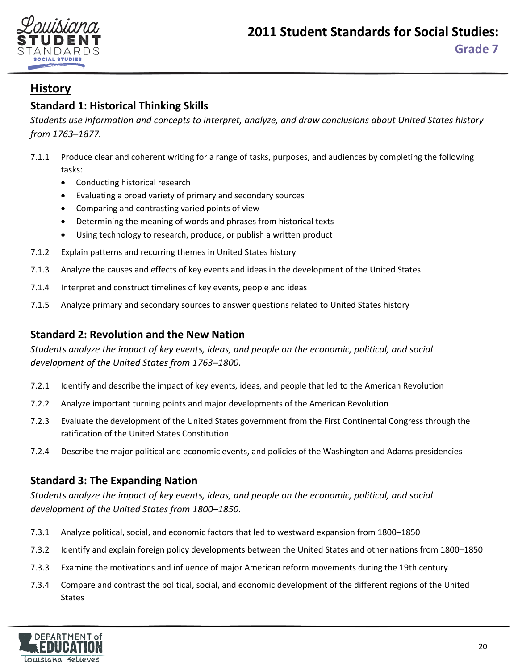



## <span id="page-19-0"></span>**Standard 1: Historical Thinking Skills**

*Students use information and concepts to interpret, analyze, and draw conclusions about United States history from 1763–1877.*

- 7.1.1 Produce clear and coherent writing for a range of tasks, purposes, and audiences by completing the following tasks:
	- Conducting historical research
	- Evaluating a broad variety of primary and secondary sources
	- Comparing and contrasting varied points of view
	- Determining the meaning of words and phrases from historical texts
	- Using technology to research, produce, or publish a written product
- 7.1.2 Explain patterns and recurring themes in United States history
- 7.1.3 Analyze the causes and effects of key events and ideas in the development of the United States
- 7.1.4 Interpret and construct timelines of key events, people and ideas
- 7.1.5 Analyze primary and secondary sources to answer questions related to United States history

### **Standard 2: Revolution and the New Nation**

*Students analyze the impact of key events, ideas, and people on the economic, political, and social development of the United States from 1763–1800.*

- 7.2.1 Identify and describe the impact of key events, ideas, and people that led to the American Revolution
- 7.2.2 Analyze important turning points and major developments of the American Revolution
- 7.2.3 Evaluate the development of the United States government from the First Continental Congress through the ratification of the United States Constitution
- 7.2.4 Describe the major political and economic events, and policies of the Washington and Adams presidencies

## **Standard 3: The Expanding Nation**

*Students analyze the impact of key events, ideas, and people on the economic, political, and social development of the United States from 1800–1850.*

- 7.3.1 Analyze political, social, and economic factors that led to westward expansion from 1800–1850
- 7.3.2 Identify and explain foreign policy developments between the United States and other nations from 1800–1850
- 7.3.3 Examine the motivations and influence of major American reform movements during the 19th century
- 7.3.4 Compare and contrast the political, social, and economic development of the different regions of the United States

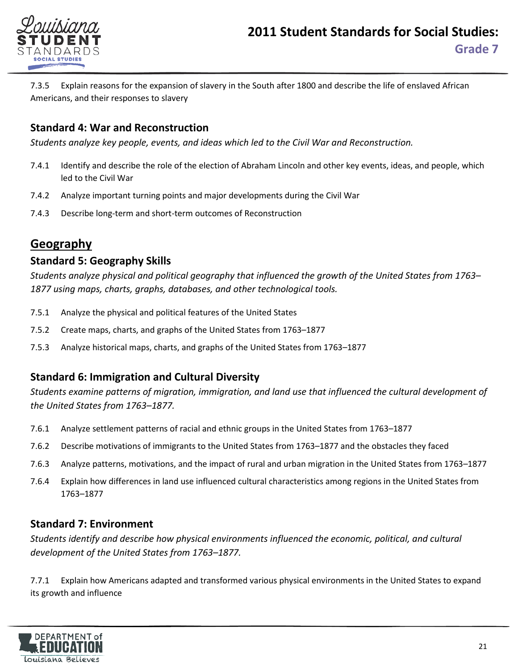

7.3.5 Explain reasons for the expansion of slavery in the South after 1800 and describe the life of enslaved African Americans, and their responses to slavery

### **Standard 4: War and Reconstruction**

*Students analyze key people, events, and ideas which led to the Civil War and Reconstruction.*

- 7.4.1 Identify and describe the role of the election of Abraham Lincoln and other key events, ideas, and people, which led to the Civil War
- 7.4.2 Analyze important turning points and major developments during the Civil War
- 7.4.3 Describe long-term and short-term outcomes of Reconstruction

## **Geography**

#### **Standard 5: Geography Skills**

*Students analyze physical and political geography that influenced the growth of the United States from 1763– 1877 using maps, charts, graphs, databases, and other technological tools.*

- 7.5.1 Analyze the physical and political features of the United States
- 7.5.2 Create maps, charts, and graphs of the United States from 1763–1877
- 7.5.3 Analyze historical maps, charts, and graphs of the United States from 1763–1877

#### **Standard 6: Immigration and Cultural Diversity**

*Students examine patterns of migration, immigration, and land use that influenced the cultural development of the United States from 1763–1877.*

- 7.6.1 Analyze settlement patterns of racial and ethnic groups in the United States from 1763–1877
- 7.6.2 Describe motivations of immigrants to the United States from 1763–1877 and the obstacles they faced
- 7.6.3 Analyze patterns, motivations, and the impact of rural and urban migration in the United States from 1763–1877
- 7.6.4 Explain how differences in land use influenced cultural characteristics among regions in the United States from 1763–1877

#### **Standard 7: Environment**

*Students identify and describe how physical environments influenced the economic, political, and cultural development of the United States from 1763–1877.*

7.7.1 Explain how Americans adapted and transformed various physical environments in the United States to expand its growth and influence

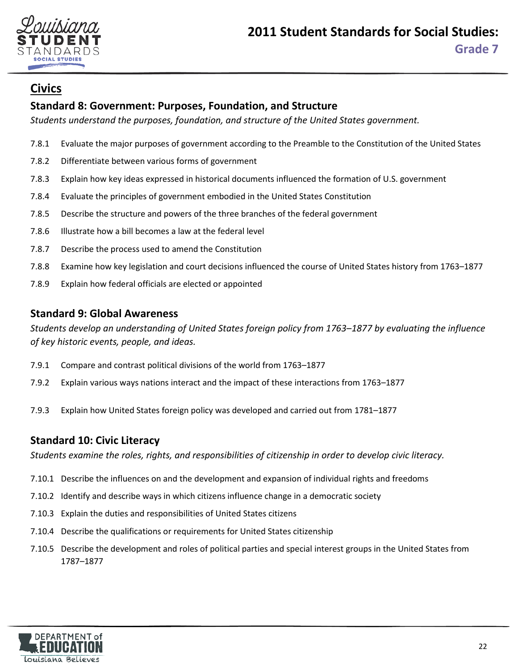

## **Civics**

## **Standard 8: Government: Purposes, Foundation, and Structure**

*Students understand the purposes, foundation, and structure of the United States government.*

- 7.8.1 Evaluate the major purposes of government according to the Preamble to the Constitution of the United States
- 7.8.2 Differentiate between various forms of government
- 7.8.3 Explain how key ideas expressed in historical documents influenced the formation of U.S. government
- 7.8.4 Evaluate the principles of government embodied in the United States Constitution
- 7.8.5 Describe the structure and powers of the three branches of the federal government
- 7.8.6 Illustrate how a bill becomes a law at the federal level
- 7.8.7 Describe the process used to amend the Constitution
- 7.8.8 Examine how key legislation and court decisions influenced the course of United States history from 1763–1877
- 7.8.9 Explain how federal officials are elected or appointed

#### **Standard 9: Global Awareness**

*Students develop an understanding of United States foreign policy from 1763–1877 by evaluating the influence of key historic events, people, and ideas.*

- 7.9.1 Compare and contrast political divisions of the world from 1763–1877
- 7.9.2 Explain various ways nations interact and the impact of these interactions from 1763–1877
- 7.9.3 Explain how United States foreign policy was developed and carried out from 1781–1877

#### **Standard 10: Civic Literacy**

*Students examine the roles, rights, and responsibilities of citizenship in order to develop civic literacy.*

- 7.10.1 Describe the influences on and the development and expansion of individual rights and freedoms
- 7.10.2 Identify and describe ways in which citizens influence change in a democratic society
- 7.10.3 Explain the duties and responsibilities of United States citizens
- 7.10.4 Describe the qualifications or requirements for United States citizenship
- 7.10.5 Describe the development and roles of political parties and special interest groups in the United States from 1787–1877

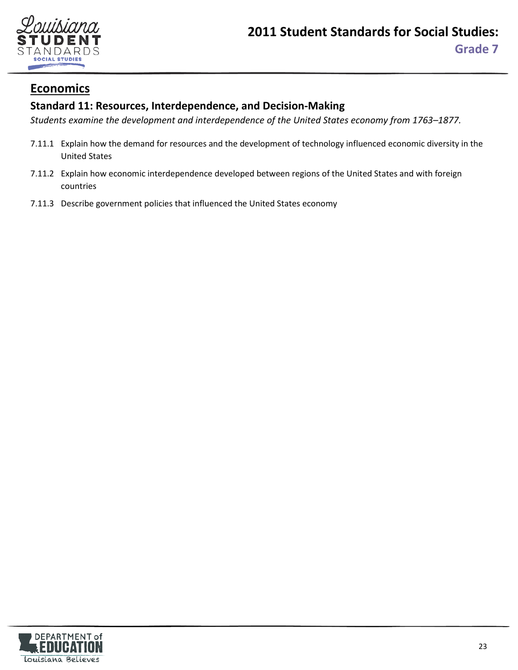

## **Economics**

## **Standard 11: Resources, Interdependence, and Decision-Making**

*Students examine the development and interdependence of the United States economy from 1763–1877.*

- 7.11.1 Explain how the demand for resources and the development of technology influenced economic diversity in the United States
- 7.11.2 Explain how economic interdependence developed between regions of the United States and with foreign countries
- 7.11.3 Describe government policies that influenced the United States economy

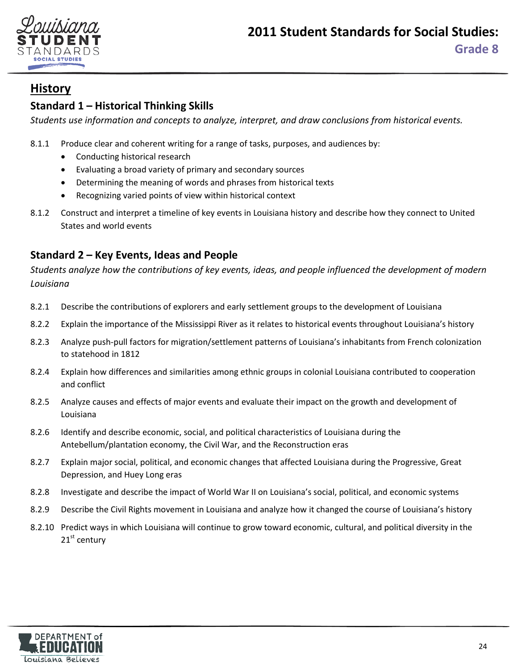

## <span id="page-23-0"></span>**Standard 1 – Historical Thinking Skills**

*Students use information and concepts to analyze, interpret, and draw conclusions from historical events.*

8.1.1 Produce clear and coherent writing for a range of tasks, purposes, and audiences by:

- Conducting historical research
- Evaluating a broad variety of primary and secondary sources
- Determining the meaning of words and phrases from historical texts
- Recognizing varied points of view within historical context
- 8.1.2 Construct and interpret a timeline of key events in Louisiana history and describe how they connect to United States and world events

## **Standard 2 – Key Events, Ideas and People**

*Students analyze how the contributions of key events, ideas, and people influenced the development of modern Louisiana*

- 8.2.1 Describe the contributions of explorers and early settlement groups to the development of Louisiana
- 8.2.2 Explain the importance of the Mississippi River as it relates to historical events throughout Louisiana's history
- 8.2.3 Analyze push-pull factors for migration/settlement patterns of Louisiana's inhabitants from French colonization to statehood in 1812
- 8.2.4 Explain how differences and similarities among ethnic groups in colonial Louisiana contributed to cooperation and conflict
- 8.2.5 Analyze causes and effects of major events and evaluate their impact on the growth and development of Louisiana
- 8.2.6 Identify and describe economic, social, and political characteristics of Louisiana during the Antebellum/plantation economy, the Civil War, and the Reconstruction eras
- 8.2.7 Explain major social, political, and economic changes that affected Louisiana during the Progressive, Great Depression, and Huey Long eras
- 8.2.8 Investigate and describe the impact of World War II on Louisiana's social, political, and economic systems
- 8.2.9 Describe the Civil Rights movement in Louisiana and analyze how it changed the course of Louisiana's history
- 8.2.10 Predict ways in which Louisiana will continue to grow toward economic, cultural, and political diversity in the  $21<sup>st</sup>$  century

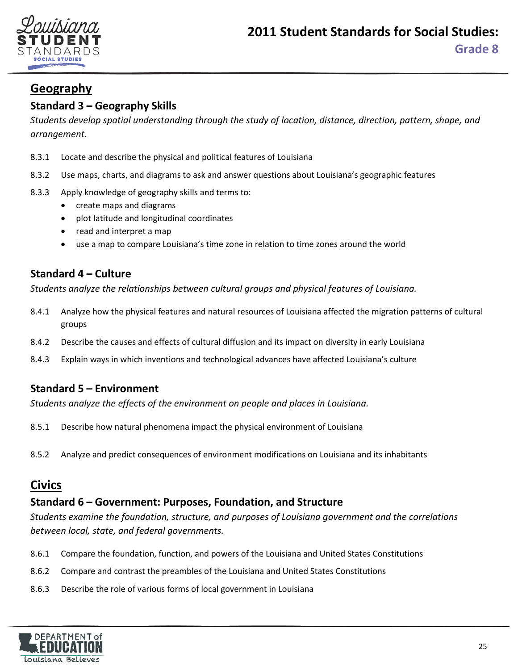

# **Geography**

## **Standard 3 – Geography Skills**

*Students develop spatial understanding through the study of location, distance, direction, pattern, shape, and arrangement.*

- 8.3.1 Locate and describe the physical and political features of Louisiana
- 8.3.2 Use maps, charts, and diagrams to ask and answer questions about Louisiana's geographic features
- 8.3.3 Apply knowledge of geography skills and terms to:
	- create maps and diagrams
	- plot latitude and longitudinal coordinates
	- read and interpret a map
	- use a map to compare Louisiana's time zone in relation to time zones around the world

## **Standard 4 – Culture**

*Students analyze the relationships between cultural groups and physical features of Louisiana.*

- 8.4.1 Analyze how the physical features and natural resources of Louisiana affected the migration patterns of cultural groups
- 8.4.2 Describe the causes and effects of cultural diffusion and its impact on diversity in early Louisiana
- 8.4.3 Explain ways in which inventions and technological advances have affected Louisiana's culture

#### **Standard 5 – Environment**

*Students analyze the effects of the environment on people and places in Louisiana.*

- 8.5.1 Describe how natural phenomena impact the physical environment of Louisiana
- 8.5.2 Analyze and predict consequences of environment modifications on Louisiana and its inhabitants

# **Civics**

## **Standard 6 – Government: Purposes, Foundation, and Structure**

*Students examine the foundation, structure, and purposes of Louisiana government and the correlations between local, state, and federal governments.*

- 8.6.1 Compare the foundation, function, and powers of the Louisiana and United States Constitutions
- 8.6.2 Compare and contrast the preambles of the Louisiana and United States Constitutions
- 8.6.3 Describe the role of various forms of local government in Louisiana

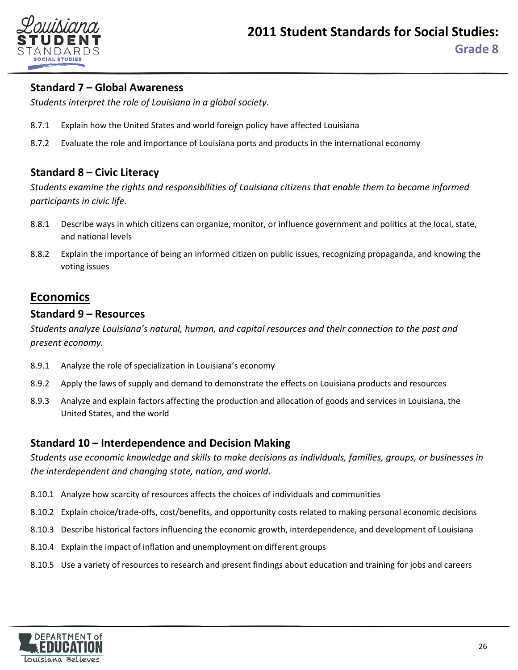

#### **Standard 7 – Global Awareness**

*Students interpret the role of Louisiana in a global society.*

- 8.7.1 Explain how the United States and world foreign policy have affected Louisiana
- 8.7.2 Evaluate the role and importance of Louisiana ports and products in the international economy

#### **Standard 8 – Civic Literacy**

*Students examine the rights and responsibilities of Louisiana citizens that enable them to become informed participants in civic life.*

- 8.8.1 Describe ways in which citizens can organize, monitor, or influence government and politics at the local, state, and national levels
- 8.8.2 Explain the importance of being an informed citizen on public issues, recognizing propaganda, and knowing the voting issues

## **Economics**

#### **Standard 9 – Resources**

*Students analyze Louisiana's natural, human, and capital resources and their connection to the past and present economy.*

- 8.9.1 Analyze the role of specialization in Louisiana's economy
- 8.9.2 Apply the laws of supply and demand to demonstrate the effects on Louisiana products and resources
- 8.9.3 Analyze and explain factors affecting the production and allocation of goods and services in Louisiana, the United States, and the world

#### **Standard 10 – Interdependence and Decision Making**

*Students use economic knowledge and skills to make decisions as individuals, families, groups, or businesses in the interdependent and changing state, nation, and world.*

- 8.10.1 Analyze how scarcity of resources affects the choices of individuals and communities
- 8.10.2 Explain choice/trade-offs, cost/benefits, and opportunity costs related to making personal economic decisions
- 8.10.3 Describe historical factors influencing the economic growth, interdependence, and development of Louisiana
- 8.10.4 Explain the impact of inflation and unemployment on different groups
- 8.10.5 Use a variety of resources to research and present findings about education and training for jobs and careers

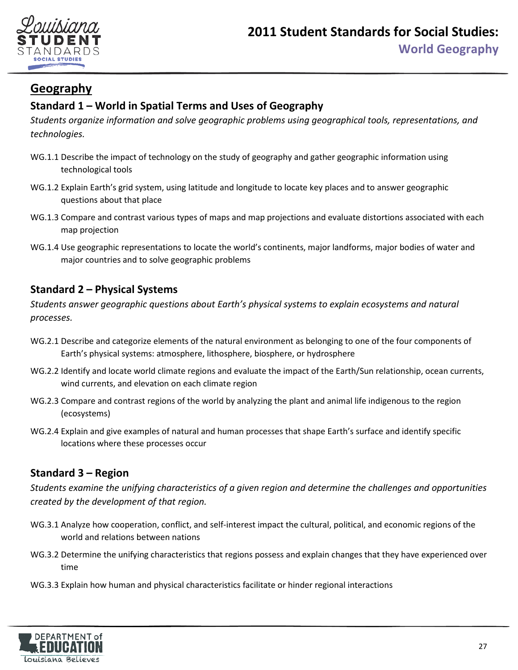

# <span id="page-26-0"></span>**Geography**

## **Standard 1 – World in Spatial Terms and Uses of Geography**

*Students organize information and solve geographic problems using geographical tools, representations, and technologies.*

- WG.1.1 Describe the impact of technology on the study of geography and gather geographic information using technological tools
- WG.1.2 Explain Earth's grid system, using latitude and longitude to locate key places and to answer geographic questions about that place
- WG.1.3 Compare and contrast various types of maps and map projections and evaluate distortions associated with each map projection
- WG.1.4 Use geographic representations to locate the world's continents, major landforms, major bodies of water and major countries and to solve geographic problems

## **Standard 2 – Physical Systems**

*Students answer geographic questions about Earth's physical systems to explain ecosystems and natural processes.*

- WG.2.1 Describe and categorize elements of the natural environment as belonging to one of the four components of Earth's physical systems: atmosphere, lithosphere, biosphere, or hydrosphere
- WG.2.2 Identify and locate world climate regions and evaluate the impact of the Earth/Sun relationship, ocean currents, wind currents, and elevation on each climate region
- WG.2.3 Compare and contrast regions of the world by analyzing the plant and animal life indigenous to the region (ecosystems)
- WG.2.4 Explain and give examples of natural and human processes that shape Earth's surface and identify specific locations where these processes occur

## **Standard 3 – Region**

*Students examine the unifying characteristics of a given region and determine the challenges and opportunities created by the development of that region.*

- WG.3.1 Analyze how cooperation, conflict, and self-interest impact the cultural, political, and economic regions of the world and relations between nations
- WG.3.2 Determine the unifying characteristics that regions possess and explain changes that they have experienced over time
- WG.3.3 Explain how human and physical characteristics facilitate or hinder regional interactions

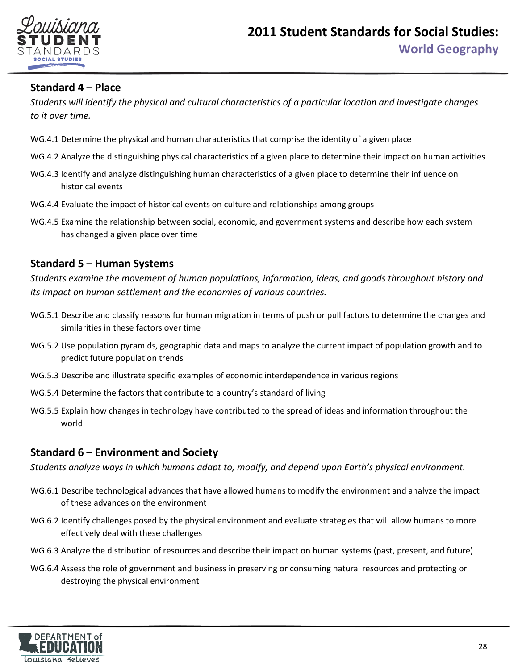

#### **Standard 4 – Place**

*Students will identify the physical and cultural characteristics of a particular location and investigate changes to it over time.*

- WG.4.1 Determine the physical and human characteristics that comprise the identity of a given place
- WG.4.2 Analyze the distinguishing physical characteristics of a given place to determine their impact on human activities
- WG.4.3 Identify and analyze distinguishing human characteristics of a given place to determine their influence on historical events
- WG.4.4 Evaluate the impact of historical events on culture and relationships among groups
- WG.4.5 Examine the relationship between social, economic, and government systems and describe how each system has changed a given place over time

#### **Standard 5 – Human Systems**

*Students examine the movement of human populations, information, ideas, and goods throughout history and its impact on human settlement and the economies of various countries.* 

- WG.5.1 Describe and classify reasons for human migration in terms of push or pull factors to determine the changes and similarities in these factors over time
- WG.5.2 Use population pyramids, geographic data and maps to analyze the current impact of population growth and to predict future population trends
- WG.5.3 Describe and illustrate specific examples of economic interdependence in various regions
- WG.5.4 Determine the factors that contribute to a country's standard of living
- WG.5.5 Explain how changes in technology have contributed to the spread of ideas and information throughout the world

#### **Standard 6 – Environment and Society**

*Students analyze ways in which humans adapt to, modify, and depend upon Earth's physical environment.*

- WG.6.1 Describe technological advances that have allowed humans to modify the environment and analyze the impact of these advances on the environment
- WG.6.2 Identify challenges posed by the physical environment and evaluate strategies that will allow humans to more effectively deal with these challenges
- WG.6.3 Analyze the distribution of resources and describe their impact on human systems (past, present, and future)
- WG.6.4 Assess the role of government and business in preserving or consuming natural resources and protecting or destroying the physical environment

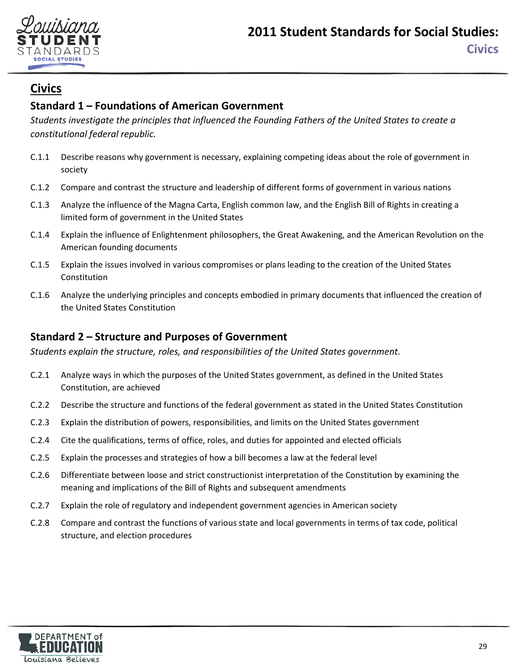

## <span id="page-28-0"></span>**Civics**

## **Standard 1 – Foundations of American Government**

*Students investigate the principles that influenced the Founding Fathers of the United States to create a constitutional federal republic.*

- C.1.1 Describe reasons why government is necessary, explaining competing ideas about the role of government in society
- C.1.2 Compare and contrast the structure and leadership of different forms of government in various nations
- C.1.3 Analyze the influence of the Magna Carta, English common law, and the English Bill of Rights in creating a limited form of government in the United States
- C.1.4 Explain the influence of Enlightenment philosophers, the Great Awakening, and the American Revolution on the American founding documents
- C.1.5 Explain the issues involved in various compromises or plans leading to the creation of the United States Constitution
- C.1.6 Analyze the underlying principles and concepts embodied in primary documents that influenced the creation of the United States Constitution

#### **Standard 2 – Structure and Purposes of Government**

*Students explain the structure, roles, and responsibilities of the United States government.*

- C.2.1 Analyze ways in which the purposes of the United States government, as defined in the United States Constitution, are achieved
- C.2.2 Describe the structure and functions of the federal government as stated in the United States Constitution
- C.2.3 Explain the distribution of powers, responsibilities, and limits on the United States government
- C.2.4 Cite the qualifications, terms of office, roles, and duties for appointed and elected officials
- C.2.5 Explain the processes and strategies of how a bill becomes a law at the federal level
- C.2.6 Differentiate between loose and strict constructionist interpretation of the Constitution by examining the meaning and implications of the Bill of Rights and subsequent amendments
- C.2.7 Explain the role of regulatory and independent government agencies in American society
- C.2.8 Compare and contrast the functions of various state and local governments in terms of tax code, political structure, and election procedures

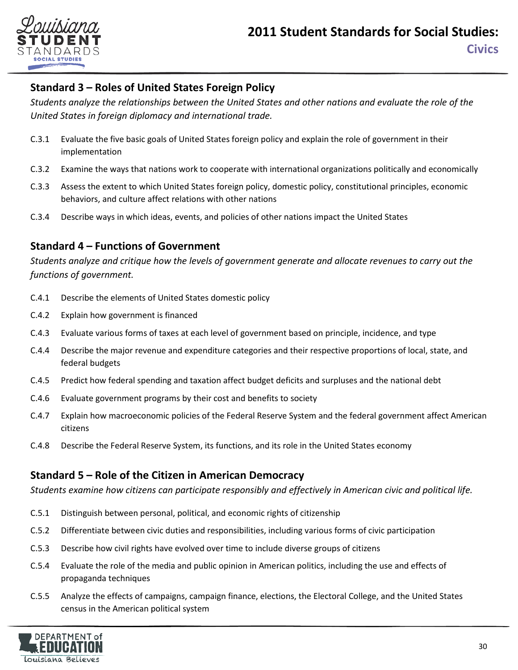

## **Standard 3 – Roles of United States Foreign Policy**

*Students analyze the relationships between the United States and other nations and evaluate the role of the United States in foreign diplomacy and international trade.*

- C.3.1 Evaluate the five basic goals of United States foreign policy and explain the role of government in their implementation
- C.3.2 Examine the ways that nations work to cooperate with international organizations politically and economically
- C.3.3 Assess the extent to which United States foreign policy, domestic policy, constitutional principles, economic behaviors, and culture affect relations with other nations
- C.3.4 Describe ways in which ideas, events, and policies of other nations impact the United States

## **Standard 4 – Functions of Government**

*Students analyze and critique how the levels of government generate and allocate revenues to carry out the functions of government.*

- C.4.1 Describe the elements of United States domestic policy
- C.4.2 Explain how government is financed
- C.4.3 Evaluate various forms of taxes at each level of government based on principle, incidence, and type
- C.4.4 Describe the major revenue and expenditure categories and their respective proportions of local, state, and federal budgets
- C.4.5 Predict how federal spending and taxation affect budget deficits and surpluses and the national debt
- C.4.6 Evaluate government programs by their cost and benefits to society
- C.4.7 Explain how macroeconomic policies of the Federal Reserve System and the federal government affect American citizens
- C.4.8 Describe the Federal Reserve System, its functions, and its role in the United States economy

## **Standard 5 – Role of the Citizen in American Democracy**

*Students examine how citizens can participate responsibly and effectively in American civic and political life.*

- C.5.1 Distinguish between personal, political, and economic rights of citizenship
- C.5.2 Differentiate between civic duties and responsibilities, including various forms of civic participation
- C.5.3 Describe how civil rights have evolved over time to include diverse groups of citizens
- C.5.4 Evaluate the role of the media and public opinion in American politics, including the use and effects of propaganda techniques
- C.5.5 Analyze the effects of campaigns, campaign finance, elections, the Electoral College, and the United States census in the American political system

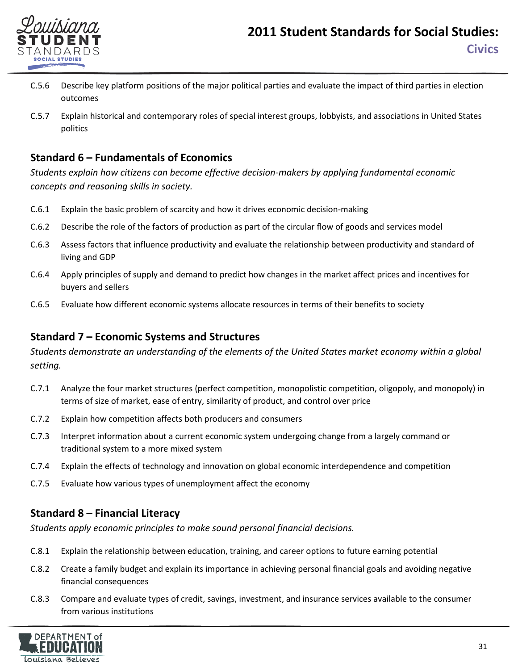

- C.5.6 Describe key platform positions of the major political parties and evaluate the impact of third parties in election outcomes
- C.5.7 Explain historical and contemporary roles of special interest groups, lobbyists, and associations in United States politics

#### **Standard 6 – Fundamentals of Economics**

*Students explain how citizens can become effective decision-makers by applying fundamental economic concepts and reasoning skills in society.*

- C.6.1 Explain the basic problem of scarcity and how it drives economic decision-making
- C.6.2 Describe the role of the factors of production as part of the circular flow of goods and services model
- C.6.3 Assess factors that influence productivity and evaluate the relationship between productivity and standard of living and GDP
- C.6.4 Apply principles of supply and demand to predict how changes in the market affect prices and incentives for buyers and sellers
- C.6.5 Evaluate how different economic systems allocate resources in terms of their benefits to society

## **Standard 7 – Economic Systems and Structures**

*Students demonstrate an understanding of the elements of the United States market economy within a global setting.*

- C.7.1 Analyze the four market structures (perfect competition, monopolistic competition, oligopoly, and monopoly) in terms of size of market, ease of entry, similarity of product, and control over price
- C.7.2 Explain how competition affects both producers and consumers
- C.7.3 Interpret information about a current economic system undergoing change from a largely command or traditional system to a more mixed system
- C.7.4 Explain the effects of technology and innovation on global economic interdependence and competition
- C.7.5 Evaluate how various types of unemployment affect the economy

## **Standard 8 – Financial Literacy**

*Students apply economic principles to make sound personal financial decisions.*

- C.8.1 Explain the relationship between education, training, and career options to future earning potential
- C.8.2 Create a family budget and explain its importance in achieving personal financial goals and avoiding negative financial consequences
- C.8.3 Compare and evaluate types of credit, savings, investment, and insurance services available to the consumer from various institutions

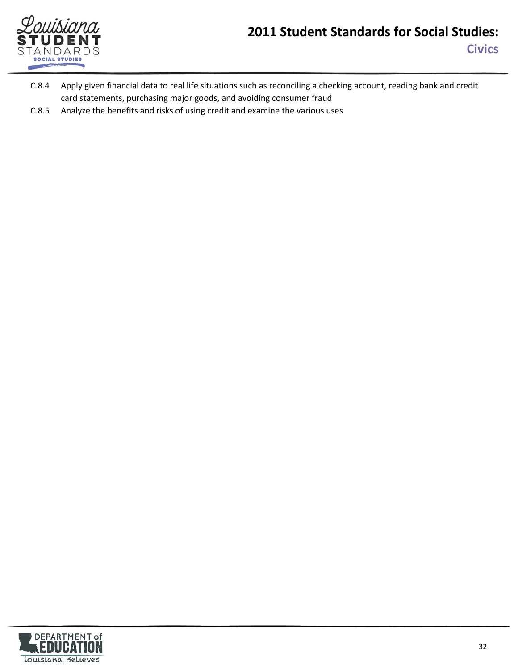

# **2011 Student Standards for Social Studies: Civics**

- C.8.4 Apply given financial data to real life situations such as reconciling a checking account, reading bank and credit card statements, purchasing major goods, and avoiding consumer fraud
- C.8.5 Analyze the benefits and risks of using credit and examine the various uses

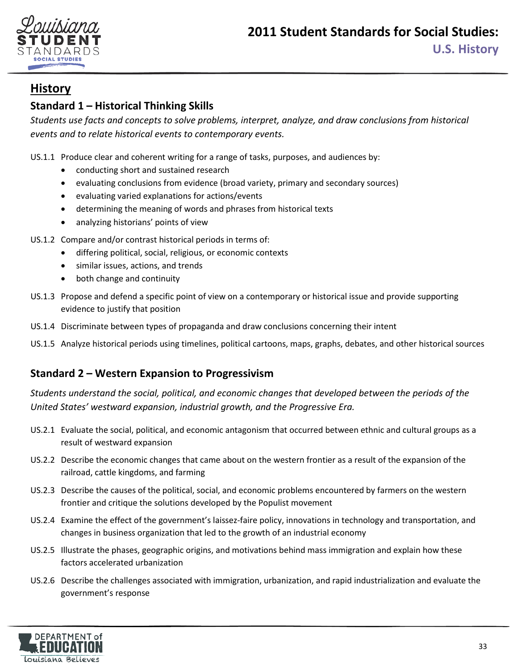

## <span id="page-32-0"></span>**Standard 1 – Historical Thinking Skills**

*Students use facts and concepts to solve problems, interpret, analyze, and draw conclusions from historical events and to relate historical events to contemporary events.*

US.1.1 Produce clear and coherent writing for a range of tasks, purposes, and audiences by:

- conducting short and sustained research
- evaluating conclusions from evidence (broad variety, primary and secondary sources)
- evaluating varied explanations for actions/events
- determining the meaning of words and phrases from historical texts
- analyzing historians' points of view
- US.1.2 Compare and/or contrast historical periods in terms of:
	- differing political, social, religious, or economic contexts
	- similar issues, actions, and trends
	- both change and continuity
- US.1.3 Propose and defend a specific point of view on a contemporary or historical issue and provide supporting evidence to justify that position
- US.1.4 Discriminate between types of propaganda and draw conclusions concerning their intent
- US.1.5 Analyze historical periods using timelines, political cartoons, maps, graphs, debates, and other historical sources

## **Standard 2 – Western Expansion to Progressivism**

*Students understand the social, political, and economic changes that developed between the periods of the United States' westward expansion, industrial growth, and the Progressive Era.*

- US.2.1 Evaluate the social, political, and economic antagonism that occurred between ethnic and cultural groups as a result of westward expansion
- US.2.2 Describe the economic changes that came about on the western frontier as a result of the expansion of the railroad, cattle kingdoms, and farming
- US.2.3 Describe the causes of the political, social, and economic problems encountered by farmers on the western frontier and critique the solutions developed by the Populist movement
- US.2.4 Examine the effect of the government's laissez-faire policy, innovations in technology and transportation, and changes in business organization that led to the growth of an industrial economy
- US.2.5 Illustrate the phases, geographic origins, and motivations behind mass immigration and explain how these factors accelerated urbanization
- US.2.6 Describe the challenges associated with immigration, urbanization, and rapid industrialization and evaluate the government's response

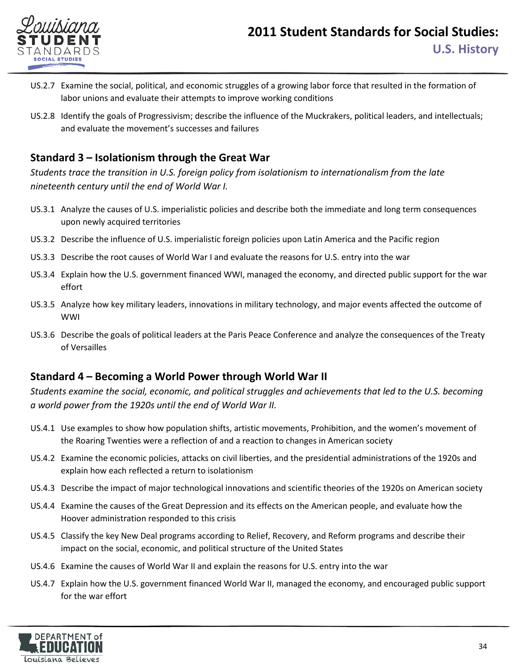

- US.2.7 Examine the social, political, and economic struggles of a growing labor force that resulted in the formation of labor unions and evaluate their attempts to improve working conditions
- US.2.8 Identify the goals of Progressivism; describe the influence of the Muckrakers, political leaders, and intellectuals; and evaluate the movement's successes and failures

#### **Standard 3 – Isolationism through the Great War**

*Students trace the transition in U.S. foreign policy from isolationism to internationalism from the late nineteenth century until the end of World War I.*

- US.3.1 Analyze the causes of U.S. imperialistic policies and describe both the immediate and long term consequences upon newly acquired territories
- US.3.2 Describe the influence of U.S. imperialistic foreign policies upon Latin America and the Pacific region
- US.3.3 Describe the root causes of World War I and evaluate the reasons for U.S. entry into the war
- US.3.4 Explain how the U.S. government financed WWI, managed the economy, and directed public support for the war effort
- US.3.5 Analyze how key military leaders, innovations in military technology, and major events affected the outcome of WWI
- US.3.6 Describe the goals of political leaders at the Paris Peace Conference and analyze the consequences of the Treaty of Versailles

#### **Standard 4 – Becoming a World Power through World War II**

*Students examine the social, economic, and political struggles and achievements that led to the U.S. becoming a world power from the 1920s until the end of World War II.*

- US.4.1 Use examples to show how population shifts, artistic movements, Prohibition, and the women's movement of the Roaring Twenties were a reflection of and a reaction to changes in American society
- US.4.2 Examine the economic policies, attacks on civil liberties, and the presidential administrations of the 1920s and explain how each reflected a return to isolationism
- US.4.3 Describe the impact of major technological innovations and scientific theories of the 1920s on American society
- US.4.4 Examine the causes of the Great Depression and its effects on the American people, and evaluate how the Hoover administration responded to this crisis
- US.4.5 Classify the key New Deal programs according to Relief, Recovery, and Reform programs and describe their impact on the social, economic, and political structure of the United States
- US.4.6 Examine the causes of World War II and explain the reasons for U.S. entry into the war
- US.4.7 Explain how the U.S. government financed World War II, managed the economy, and encouraged public support for the war effort

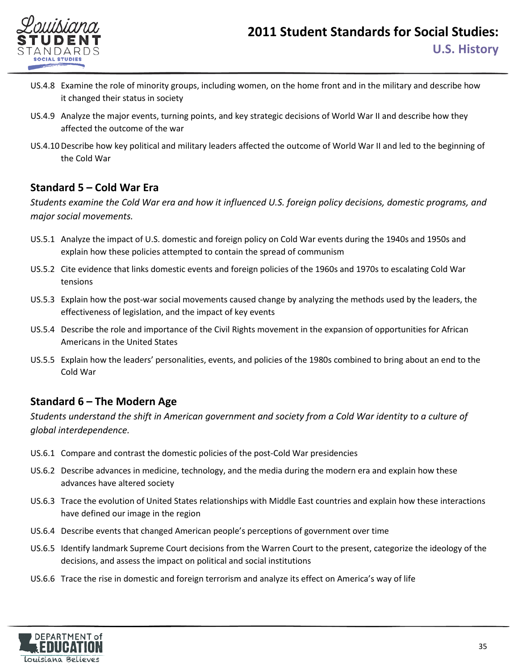

- US.4.8 Examine the role of minority groups, including women, on the home front and in the military and describe how it changed their status in society
- US.4.9 Analyze the major events, turning points, and key strategic decisions of World War II and describe how they affected the outcome of the war
- US.4.10Describe how key political and military leaders affected the outcome of World War II and led to the beginning of the Cold War

## **Standard 5 – Cold War Era**

*Students examine the Cold War era and how it influenced U.S. foreign policy decisions, domestic programs, and major social movements.*

- US.5.1 Analyze the impact of U.S. domestic and foreign policy on Cold War events during the 1940s and 1950s and explain how these policies attempted to contain the spread of communism
- US.5.2 Cite evidence that links domestic events and foreign policies of the 1960s and 1970s to escalating Cold War tensions
- US.5.3 Explain how the post-war social movements caused change by analyzing the methods used by the leaders, the effectiveness of legislation, and the impact of key events
- US.5.4 Describe the role and importance of the Civil Rights movement in the expansion of opportunities for African Americans in the United States
- US.5.5 Explain how the leaders' personalities, events, and policies of the 1980s combined to bring about an end to the Cold War

## **Standard 6 – The Modern Age**

*Students understand the shift in American government and society from a Cold War identity to a culture of global interdependence.*

- US.6.1 Compare and contrast the domestic policies of the post-Cold War presidencies
- US.6.2 Describe advances in medicine, technology, and the media during the modern era and explain how these advances have altered society
- US.6.3 Trace the evolution of United States relationships with Middle East countries and explain how these interactions have defined our image in the region
- US.6.4 Describe events that changed American people's perceptions of government over time
- US.6.5 Identify landmark Supreme Court decisions from the Warren Court to the present, categorize the ideology of the decisions, and assess the impact on political and social institutions
- US.6.6 Trace the rise in domestic and foreign terrorism and analyze its effect on America's way of life

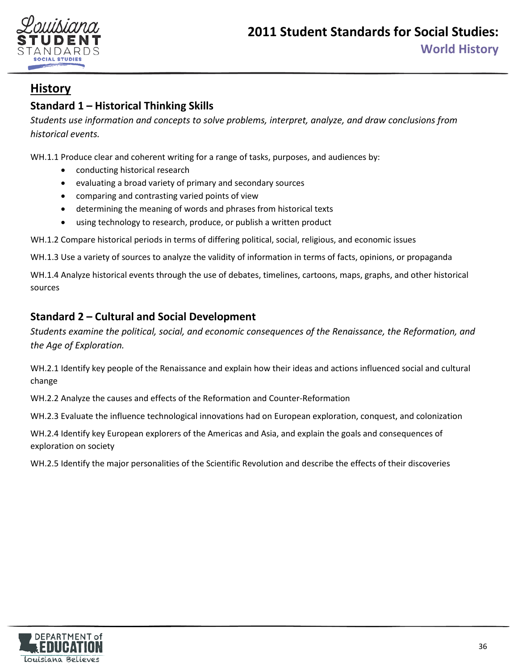

## <span id="page-35-0"></span>**Standard 1 – Historical Thinking Skills**

*Students use information and concepts to solve problems, interpret, analyze, and draw conclusions from historical events.* 

WH.1.1 Produce clear and coherent writing for a range of tasks, purposes, and audiences by:

- conducting historical research
- evaluating a broad variety of primary and secondary sources
- comparing and contrasting varied points of view
- determining the meaning of words and phrases from historical texts
- using technology to research, produce, or publish a written product

WH.1.2 Compare historical periods in terms of differing political, social, religious, and economic issues

WH.1.3 Use a variety of sources to analyze the validity of information in terms of facts, opinions, or propaganda

WH.1.4 Analyze historical events through the use of debates, timelines, cartoons, maps, graphs, and other historical sources

## **Standard 2 – Cultural and Social Development**

*Students examine the political, social, and economic consequences of the Renaissance, the Reformation, and the Age of Exploration.*

WH.2.1 Identify key people of the Renaissance and explain how their ideas and actions influenced social and cultural change

WH.2.2 Analyze the causes and effects of the Reformation and Counter-Reformation

WH.2.3 Evaluate the influence technological innovations had on European exploration, conquest, and colonization

WH.2.4 Identify key European explorers of the Americas and Asia, and explain the goals and consequences of exploration on society

WH.2.5 Identify the major personalities of the Scientific Revolution and describe the effects of their discoveries

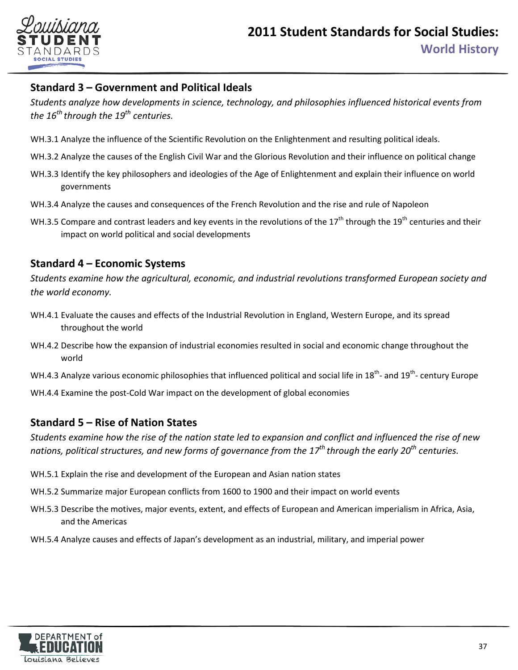

### **Standard 3 – Government and Political Ideals**

*Students analyze how developments in science, technology, and philosophies influenced historical events from the 16th through the 19th centuries.* 

- WH.3.1 Analyze the influence of the Scientific Revolution on the Enlightenment and resulting political ideals.
- WH.3.2 Analyze the causes of the English Civil War and the Glorious Revolution and their influence on political change
- WH.3.3 Identify the key philosophers and ideologies of the Age of Enlightenment and explain their influence on world governments
- WH.3.4 Analyze the causes and consequences of the French Revolution and the rise and rule of Napoleon
- WH.3.5 Compare and contrast leaders and key events in the revolutions of the 17<sup>th</sup> through the 19<sup>th</sup> centuries and their impact on world political and social developments

#### **Standard 4 – Economic Systems**

*Students examine how the agricultural, economic, and industrial revolutions transformed European society and the world economy.*

- WH.4.1 Evaluate the causes and effects of the Industrial Revolution in England, Western Europe, and its spread throughout the world
- WH.4.2 Describe how the expansion of industrial economies resulted in social and economic change throughout the world
- WH.4.3 Analyze various economic philosophies that influenced political and social life in 18<sup>th</sup>- and 19<sup>th</sup>- century Europe

WH.4.4 Examine the post-Cold War impact on the development of global economies

#### **Standard 5 – Rise of Nation States**

*Students examine how the rise of the nation state led to expansion and conflict and influenced the rise of new nations, political structures, and new forms of governance from the 17th through the early 20th centuries.*

- WH.5.1 Explain the rise and development of the European and Asian nation states
- WH.5.2 Summarize major European conflicts from 1600 to 1900 and their impact on world events
- WH.5.3 Describe the motives, major events, extent, and effects of European and American imperialism in Africa, Asia, and the Americas
- WH.5.4 Analyze causes and effects of Japan's development as an industrial, military, and imperial power